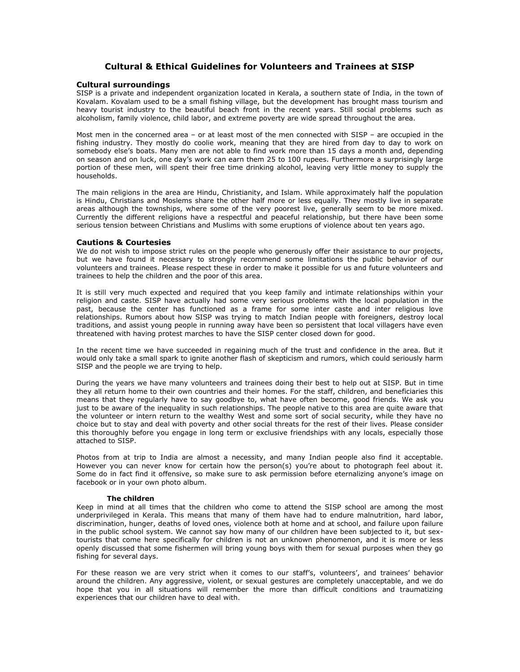# **Cultural & Ethical Guidelines for Volunteers and Trainees at SISP**

## **Cultural surroundings**

SISP is a private and independent organization located in Kerala, a southern state of India, in the town of Kovalam. Kovalam used to be a small fishing village, but the development has brought mass tourism and heavy tourist industry to the beautiful beach front in the recent years. Still social problems such as alcoholism, family violence, child labor, and extreme poverty are wide spread throughout the area.

Most men in the concerned area – or at least most of the men connected with SISP – are occupied in the fishing industry. They mostly do coolie work, meaning that they are hired from day to day to work on somebody else's boats. Many men are not able to find work more than 15 days a month and, depending on season and on luck, one day's work can earn them 25 to 100 rupees. Furthermore a surprisingly large portion of these men, will spent their free time drinking alcohol, leaving very little money to supply the households.

The main religions in the area are Hindu, Christianity, and Islam. While approximately half the population is Hindu, Christians and Moslems share the other half more or less equally. They mostly live in separate areas although the townships, where some of the very poorest live, generally seem to be more mixed. Currently the different religions have a respectful and peaceful relationship, but there have been some serious tension between Christians and Muslims with some eruptions of violence about ten years ago.

## **Cautions & Courtesies**

We do not wish to impose strict rules on the people who generously offer their assistance to our projects, but we have found it necessary to strongly recommend some limitations the public behavior of our volunteers and trainees. Please respect these in order to make it possible for us and future volunteers and trainees to help the children and the poor of this area.

It is still very much expected and required that you keep family and intimate relationships within your religion and caste. SISP have actually had some very serious problems with the local population in the past, because the center has functioned as a frame for some inter caste and inter religious love relationships. Rumors about how SISP was trying to match Indian people with foreigners, destroy local traditions, and assist young people in running away have been so persistent that local villagers have even threatened with having protest marches to have the SISP center closed down for good.

In the recent time we have succeeded in regaining much of the trust and confidence in the area. But it would only take a small spark to ignite another flash of skepticism and rumors, which could seriously harm SISP and the people we are trying to help.

During the years we have many volunteers and trainees doing their best to help out at SISP. But in time they all return home to their own countries and their homes. For the staff, children, and beneficiaries this means that they regularly have to say goodbye to, what have often become, good friends. We ask you just to be aware of the inequality in such relationships. The people native to this area are quite aware that the volunteer or intern return to the wealthy West and some sort of social security, while they have no choice but to stay and deal with poverty and other social threats for the rest of their lives. Please consider this thoroughly before you engage in long term or exclusive friendships with any locals, especially those attached to SISP.

Photos from at trip to India are almost a necessity, and many Indian people also find it acceptable. However you can never know for certain how the person(s) you're about to photograph feel about it. Some do in fact find it offensive, so make sure to ask permission before eternalizing anyone's image on facebook or in your own photo album.

#### **The children**

Keep in mind at all times that the children who come to attend the SISP school are among the most underprivileged in Kerala. This means that many of them have had to endure malnutrition, hard labor, discrimination, hunger, deaths of loved ones, violence both at home and at school, and failure upon failure in the public school system. We cannot say how many of our children have been subjected to it, but sextourists that come here specifically for children is not an unknown phenomenon, and it is more or less openly discussed that some fishermen will bring young boys with them for sexual purposes when they go fishing for several days.

For these reason we are very strict when it comes to our staff's, volunteers', and trainees' behavior around the children. Any aggressive, violent, or sexual gestures are completely unacceptable, and we do hope that you in all situations will remember the more than difficult conditions and traumatizing experiences that our children have to deal with.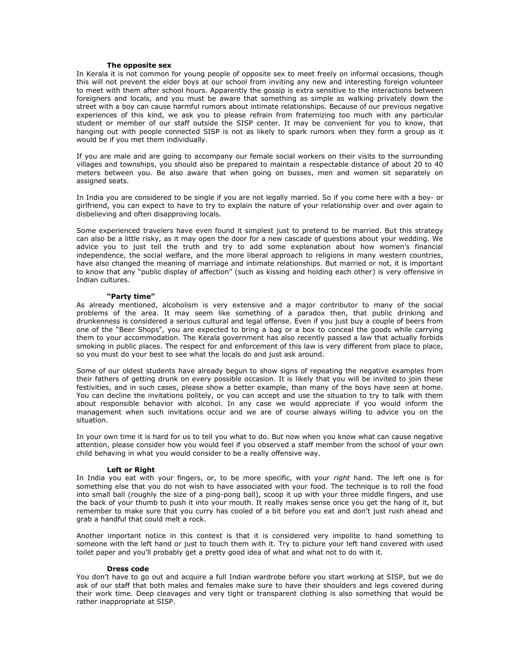# **The opposite sex**

In Kerala it is not common for young people of opposite sex to meet freely on informal occasions, though this will not prevent the elder boys at our school from inviting any new and interesting foreign volunteer to meet with them after school hours. Apparently the gossip is extra sensitive to the interactions between foreigners and locals, and you must be aware that something as simple as walking privately down the street with a boy can cause harmful rumors about intimate relationships. Because of our previous negative experiences of this kind, we ask you to please refrain from fraternizing too much with any particular student or member of our staff outside the SISP center. It may be convenient for you to know, that hanging out with people connected SISP is not as likely to spark rumors when they form a group as it would be if you met them individually.

If you are male and are going to accompany our female social workers on their visits to the surrounding villages and townships, you should also be prepared to maintain a respectable distance of about 20 to 40 meters between you. Be also aware that when going on busses, men and women sit separately on assigned seats.

In India you are considered to be single if you are not legally married. So if you come here with a boy- or girlfriend, you can expect to have to try to explain the nature of your relationship over and over again to disbelieving and often disapproving locals.

Some experienced travelers have even found it simplest just to pretend to be married. But this strategy can also be a little risky, as it may open the door for a new cascade of questions about your wedding. We advice you to just tell the truth and try to add some explanation about how women's financial independence, the social welfare, and the more liberal approach to religions in many western countries, have also changed the meaning of marriage and intimate relationships. But married or not, it is important to know that any "public display of affection" (such as kissing and holding each other) is very offensive in Indian cultures.

#### **"Party time"**

As already mentioned, alcoholism is very extensive and a major contributor to many of the social problems of the area. It may seem like something of a paradox then, that public drinking and drunkenness is considered a serious cultural and legal offense. Even if you just buy a couple of beers from one of the "Beer Shops", you are expected to bring a bag or a box to conceal the goods while carrying them to your accommodation. The Kerala government has also recently passed a law that actually forbids smoking in public places. The respect for and enforcement of this law is very different from place to place, so you must do your best to see what the locals do and just ask around.

Some of our oldest students have already begun to show signs of repeating the negative examples from their fathers of getting drunk on every possible occasion. It is likely that you will be invited to join these festivities, and in such cases, please show a better example, than many of the boys have seen at home. You can decline the invitations politely, or you can accept and use the situation to try to talk with them about responsible behavior with alcohol. In any case we would appreciate if you would inform the management when such invitations occur and we are of course always willing to advice you on the situation.

In your own time it is hard for us to tell you what to do. But now when you know what can cause negative attention, please consider how you would feel if you observed a staff member from the school of your own child behaving in what you would consider to be a really offensive way.

#### **Left or Right**

In India you eat with your fingers, or, to be more specific, with your *right* hand. The left one is for something else that you do not wish to have associated with your food. The technique is to roll the food into small ball (roughly the size of a ping-pong ball), scoop it up with your three middle fingers, and use the back of your thumb to push it into your mouth. It really makes sense once you get the hang of it, but remember to make sure that you curry has cooled of a bit before you eat and don't just rush ahead and grab a handful that could melt a rock.

Another important notice in this context is that it is considered very impolite to hand something to someone with the left hand or just to touch them with it. Try to picture your left hand covered with used toilet paper and you'll probably get a pretty good idea of what and what not to do with it.

#### **Dress code**

You don't have to go out and acquire a full Indian wardrobe before you start working at SISP, but we do ask of our staff that both males and females make sure to have their shoulders and legs covered during their work time. Deep cleavages and very tight or transparent clothing is also something that would be rather inappropriate at SISP.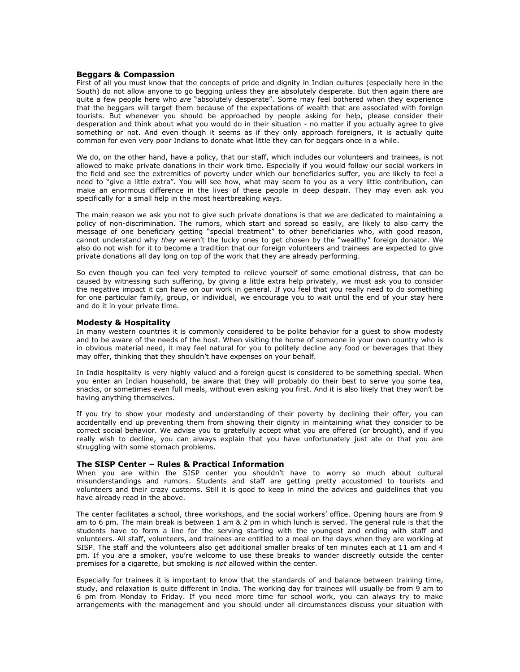## **Beggars & Compassion**

First of all you must know that the concepts of pride and dignity in Indian cultures (especially here in the South) do not allow anyone to go begging unless they are absolutely desperate. But then again there are quite a few people here who *are* "absolutely desperate". Some may feel bothered when they experience that the beggars will target them because of the expectations of wealth that are associated with foreign tourists. But whenever you should be approached by people asking for help, please consider their desperation and think about what you would do in their situation - no matter if you actually agree to give something or not. And even though it seems as if they only approach foreigners, it is actually quite common for even very poor Indians to donate what little they can for beggars once in a while.

We do, on the other hand, have a policy, that our staff, which includes our volunteers and trainees, is not allowed to make private donations in their work time. Especially if you would follow our social workers in the field and see the extremities of poverty under which our beneficiaries suffer, you are likely to feel a need to "give a little extra". You will see how, what may seem to you as a very little contribution, can make an enormous difference in the lives of these people in deep despair. They may even ask you specifically for a small help in the most heartbreaking ways.

The main reason we ask you not to give such private donations is that we are dedicated to maintaining a policy of non-discrimination. The rumors, which start and spread so easily, are likely to also carry the message of one beneficiary getting "special treatment" to other beneficiaries who, with good reason, cannot understand why *they* weren't the lucky ones to get chosen by the "wealthy" foreign donator. We also do not wish for it to become a tradition that our foreign volunteers and trainees are expected to give private donations all day long on top of the work that they are already performing.

So even though you can feel very tempted to relieve yourself of some emotional distress, that can be caused by witnessing such suffering, by giving a little extra help privately, we must ask you to consider the negative impact it can have on our work in general. If you feel that you really need to do something for one particular family, group, or individual, we encourage you to wait until the end of your stay here and do it in your private time.

#### **Modesty & Hospitality**

In many western countries it is commonly considered to be polite behavior for a guest to show modesty and to be aware of the needs of the host. When visiting the home of someone in your own country who is in obvious material need, it may feel natural for you to politely decline any food or beverages that they may offer, thinking that they shouldn't have expenses on your behalf.

In India hospitality is very highly valued and a foreign guest is considered to be something special. When you enter an Indian household, be aware that they will probably do their best to serve you some tea, snacks, or sometimes even full meals, without even asking you first. And it is also likely that they won't be having anything themselves.

If you try to show your modesty and understanding of their poverty by declining their offer, you can accidentally end up preventing them from showing their dignity in maintaining what they consider to be correct social behavior. We advise you to gratefully accept what you are offered (or brought), and if you really wish to decline, you can always explain that you have unfortunately just ate or that you are struggling with some stomach problems.

# **The SISP Center – Rules & Practical Information**

When you are within the SISP center you shouldn't have to worry so much about cultural misunderstandings and rumors. Students and staff are getting pretty accustomed to tourists and volunteers and their crazy customs. Still it is good to keep in mind the advices and guidelines that you have already read in the above.

The center facilitates a school, three workshops, and the social workers' office. Opening hours are from 9 am to 6 pm. The main break is between 1 am & 2 pm in which lunch is served. The general rule is that the students have to form a line for the serving starting with the youngest and ending with staff and volunteers. All staff, volunteers, and trainees are entitled to a meal on the days when they are working at SISP. The staff and the volunteers also get additional smaller breaks of ten minutes each at 11 am and 4 pm. If you are a smoker, you're welcome to use these breaks to wander discreetly outside the center premises for a cigarette, but smoking is *not* allowed within the center.

Especially for trainees it is important to know that the standards of and balance between training time, study, and relaxation is quite different in India. The working day for trainees will usually be from 9 am to 6 pm from Monday to Friday. If you need more time for school work, you can always try to make arrangements with the management and you should under all circumstances discuss your situation with